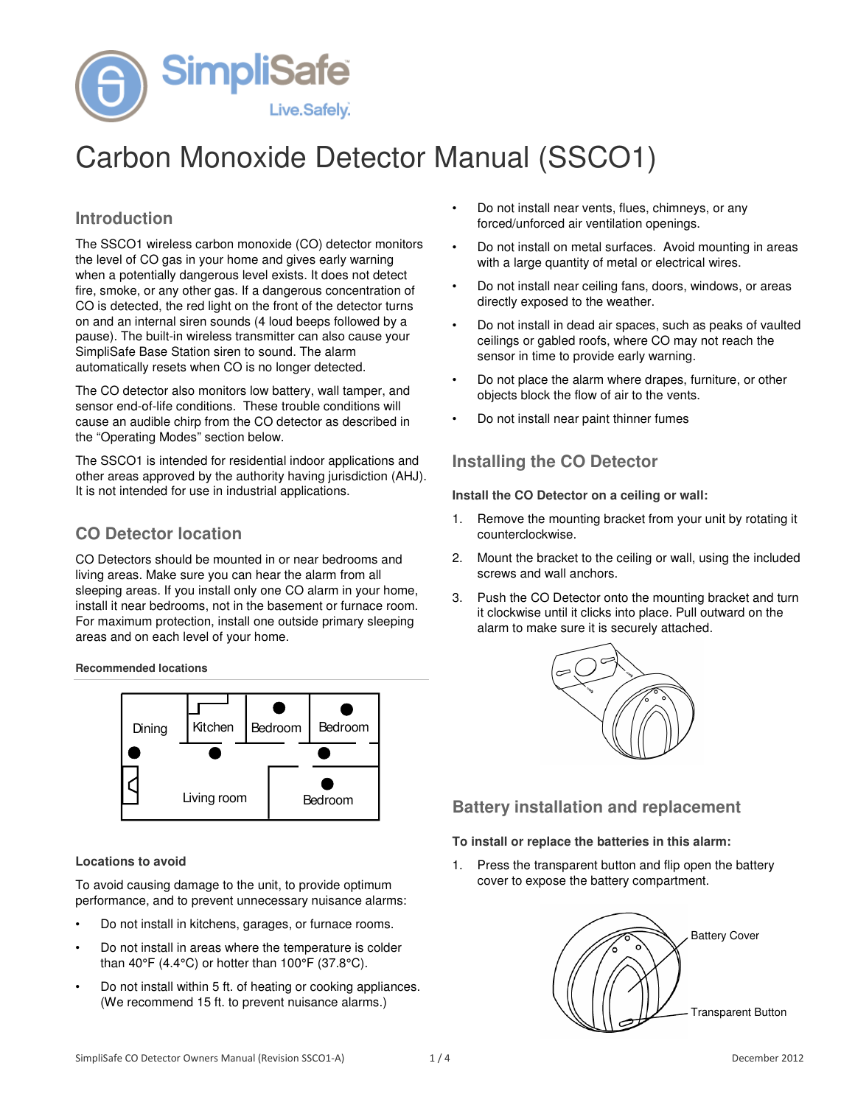

# Carbon Monoxide Detector Manual (SSCO1)

# **Introduction**

The SSCO1 wireless carbon monoxide (CO) detector monitors the level of CO gas in your home and gives early warning when a potentially dangerous level exists. It does not detect fire, smoke, or any other gas. If a dangerous concentration of CO is detected, the red light on the front of the detector turns on and an internal siren sounds (4 loud beeps followed by a pause). The built-in wireless transmitter can also cause your SimpliSafe Base Station siren to sound. The alarm automatically resets when CO is no longer detected.

The CO detector also monitors low battery, wall tamper, and sensor end-of-life conditions. These trouble conditions will cause an audible chirp from the CO detector as described in the "Operating Modes" section below.

The SSCO1 is intended for residential indoor applications and other areas approved by the authority having jurisdiction (AHJ). It is not intended for use in industrial applications.

# **CO Detector location**

CO Detectors should be mounted in or near bedrooms and living areas. Make sure you can hear the alarm from all sleeping areas. If you install only one CO alarm in your home, install it near bedrooms, not in the basement or furnace room. For maximum protection, install one outside primary sleeping areas and on each level of your home.

**Recommended locations** 



#### **Locations to avoid**

To avoid causing damage to the unit, to provide optimum performance, and to prevent unnecessary nuisance alarms:

- Do not install in kitchens, garages, or furnace rooms.
- Do not install in areas where the temperature is colder than  $40^{\circ}$ F (4.4 $^{\circ}$ C) or hotter than  $100^{\circ}$ F (37.8 $^{\circ}$ C).
- Do not install within 5 ft. of heating or cooking appliances. (We recommend 15 ft. to prevent nuisance alarms.)
- Do not install near vents, flues, chimneys, or any forced/unforced air ventilation openings.
- Do not install on metal surfaces. Avoid mounting in areas with a large quantity of metal or electrical wires.
- Do not install near ceiling fans, doors, windows, or areas directly exposed to the weather.
- Do not install in dead air spaces, such as peaks of vaulted ceilings or gabled roofs, where CO may not reach the sensor in time to provide early warning.
- Do not place the alarm where drapes, furniture, or other objects block the flow of air to the vents.
- Do not install near paint thinner fumes

## **Installing the CO Detector**

**Install the CO Detector on a ceiling or wall:** 

- 1. Remove the mounting bracket from your unit by rotating it counterclockwise.
- 2. Mount the bracket to the ceiling or wall, using the included screws and wall anchors.
- 3. Push the CO Detector onto the mounting bracket and turn it clockwise until it clicks into place. Pull outward on the alarm to make sure it is securely attached.



# **Battery installation and replacement**

**To install or replace the batteries in this alarm:** 

1. Press the transparent button and flip open the battery cover to expose the battery compartment.

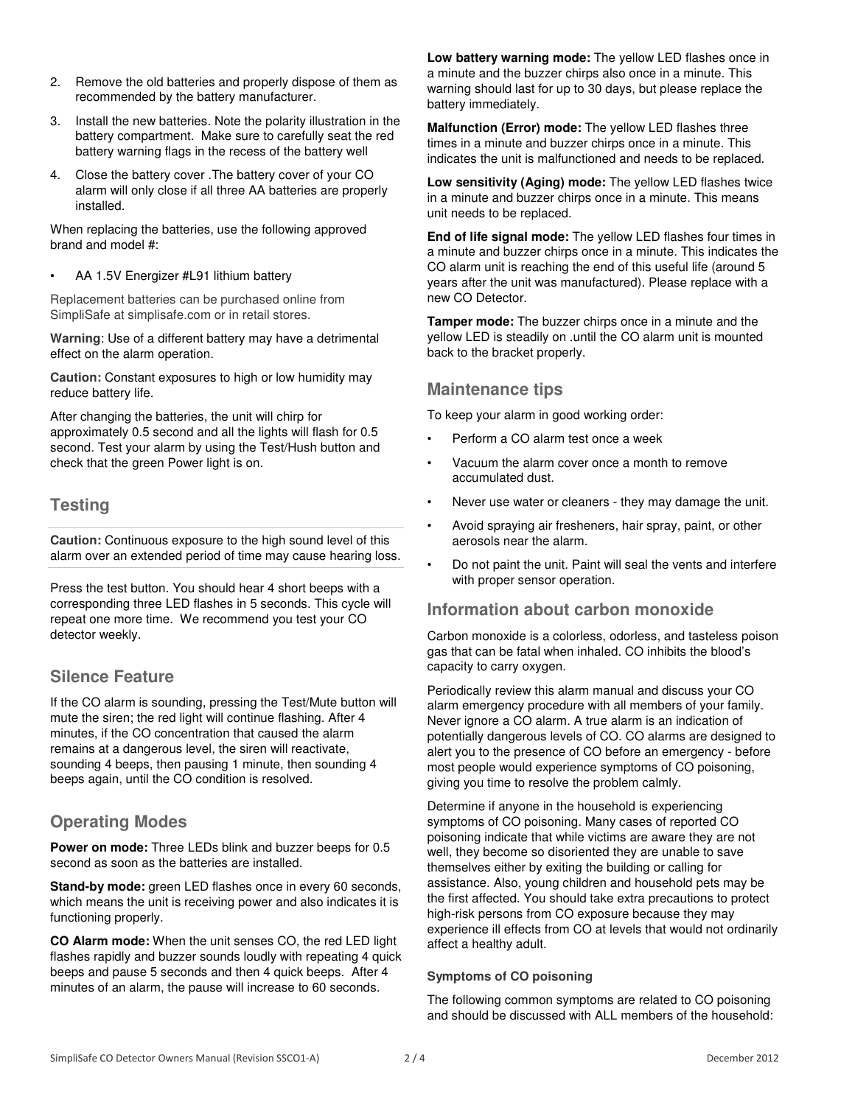- 2. Remove the old batteries and properly dispose of them as recommended by the battery manufacturer.
- 3. Install the new batteries. Note the polarity illustration in the battery compartment. Make sure to carefully seat the red battery warning flags in the recess of the battery well
- 4. Close the battery cover .The battery cover of your CO alarm will only close if all three AA batteries are properly installed.

When replacing the batteries, use the following approved brand and model #:

• AA 1.5V Energizer #L91 lithium battery

Replacement batteries can be purchased online from SimpliSafe at simplisafe.com or in retail stores.

**Warning**: Use of a different battery may have a detrimental effect on the alarm operation.

**Caution:** Constant exposures to high or low humidity may reduce battery life.

After changing the batteries, the unit will chirp for approximately 0.5 second and all the lights will flash for 0.5 second. Test your alarm by using the Test/Hush button and check that the green Power light is on.

# **Testing**

**Caution:** Continuous exposure to the high sound level of this alarm over an extended period of time may cause hearing loss.

Press the test button. You should hear 4 short beeps with a corresponding three LED flashes in 5 seconds. This cycle will repeat one more time. We recommend you test your CO detector weekly.

# **Silence Feature**

If the CO alarm is sounding, pressing the Test/Mute button will mute the siren; the red light will continue flashing. After 4 minutes, if the CO concentration that caused the alarm remains at a dangerous level, the siren will reactivate, sounding 4 beeps, then pausing 1 minute, then sounding 4 beeps again, until the CO condition is resolved.

# **Operating Modes**

**Power on mode:** Three LEDs blink and buzzer beeps for 0.5 second as soon as the batteries are installed.

**Stand-by mode:** green LED flashes once in every 60 seconds, which means the unit is receiving power and also indicates it is functioning properly.

**CO Alarm mode:** When the unit senses CO, the red LED light flashes rapidly and buzzer sounds loudly with repeating 4 quick beeps and pause 5 seconds and then 4 quick beeps. After 4 minutes of an alarm, the pause will increase to 60 seconds.

**Low battery warning mode:** The yellow LED flashes once in a minute and the buzzer chirps also once in a minute. This warning should last for up to 30 days, but please replace the battery immediately.

**Malfunction (Error) mode:** The yellow LED flashes three times in a minute and buzzer chirps once in a minute. This indicates the unit is malfunctioned and needs to be replaced.

**Low sensitivity (Aging) mode:** The yellow LED flashes twice in a minute and buzzer chirps once in a minute. This means unit needs to be replaced.

**End of life signal mode:** The yellow LED flashes four times in a minute and buzzer chirps once in a minute. This indicates the CO alarm unit is reaching the end of this useful life (around 5 years after the unit was manufactured). Please replace with a new CO Detector.

**Tamper mode:** The buzzer chirps once in a minute and the yellow LED is steadily on .until the CO alarm unit is mounted back to the bracket properly.

## **Maintenance tips**

To keep your alarm in good working order:

- Perform a CO alarm test once a week
- Vacuum the alarm cover once a month to remove accumulated dust.
- Never use water or cleaners they may damage the unit.
- Avoid spraying air fresheners, hair spray, paint, or other aerosols near the alarm.
- Do not paint the unit. Paint will seal the vents and interfere with proper sensor operation.

## **Information about carbon monoxide**

Carbon monoxide is a colorless, odorless, and tasteless poison gas that can be fatal when inhaled. CO inhibits the blood's capacity to carry oxygen.

Periodically review this alarm manual and discuss your CO alarm emergency procedure with all members of your family. Never ignore a CO alarm. A true alarm is an indication of potentially dangerous levels of CO. CO alarms are designed to alert you to the presence of CO before an emergency - before most people would experience symptoms of CO poisoning, giving you time to resolve the problem calmly.

Determine if anyone in the household is experiencing symptoms of CO poisoning. Many cases of reported CO poisoning indicate that while victims are aware they are not well, they become so disoriented they are unable to save themselves either by exiting the building or calling for assistance. Also, young children and household pets may be the first affected. You should take extra precautions to protect high-risk persons from CO exposure because they may experience ill effects from CO at levels that would not ordinarily affect a healthy adult.

#### **Symptoms of CO poisoning**

The following common symptoms are related to CO poisoning and should be discussed with ALL members of the household: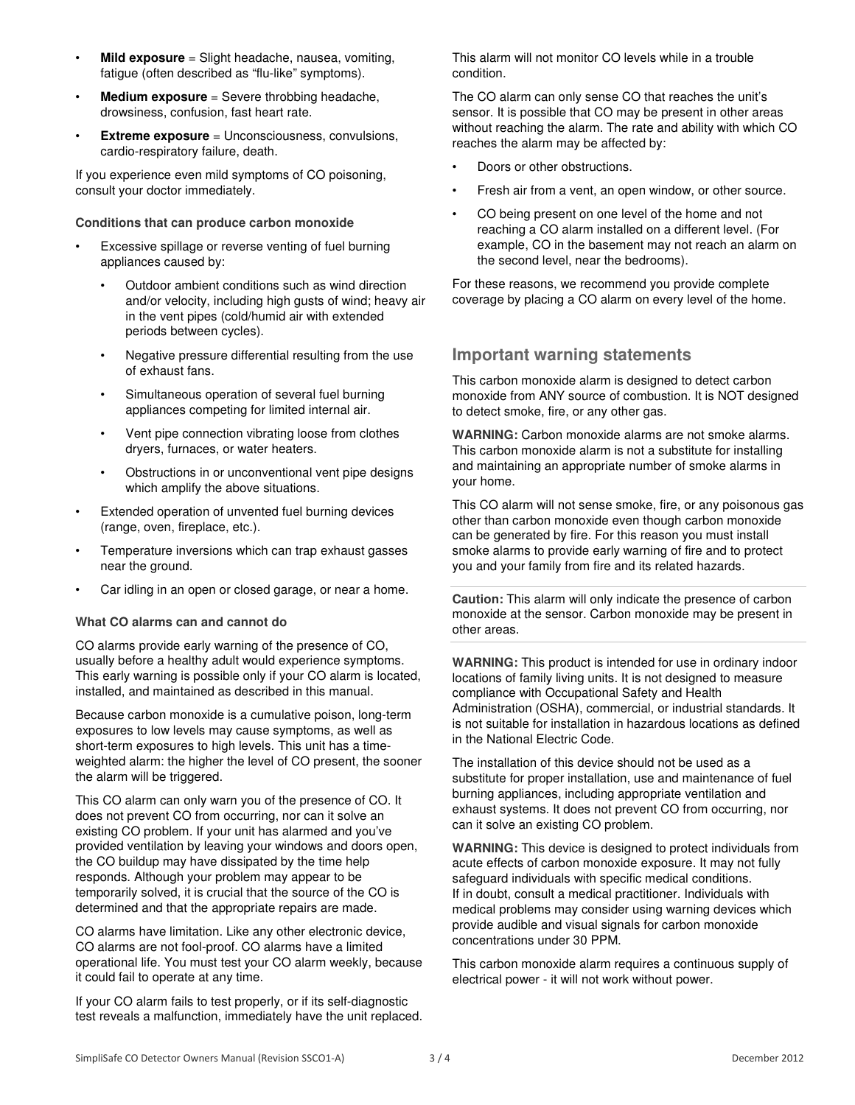- **Mild exposure** = Slight headache, nausea, vomiting, fatigue (often described as "flu-like" symptoms).
- **Medium exposure** = Severe throbbing headache, drowsiness, confusion, fast heart rate.
- **Extreme exposure** = Unconsciousness, convulsions, cardio-respiratory failure, death.

If you experience even mild symptoms of CO poisoning, consult your doctor immediately.

#### **Conditions that can produce carbon monoxide**

- Excessive spillage or reverse venting of fuel burning appliances caused by:
	- Outdoor ambient conditions such as wind direction and/or velocity, including high gusts of wind; heavy air in the vent pipes (cold/humid air with extended periods between cycles).
	- Negative pressure differential resulting from the use of exhaust fans.
	- Simultaneous operation of several fuel burning appliances competing for limited internal air.
	- Vent pipe connection vibrating loose from clothes dryers, furnaces, or water heaters.
	- Obstructions in or unconventional vent pipe designs which amplify the above situations.
- Extended operation of unvented fuel burning devices (range, oven, fireplace, etc.).
- Temperature inversions which can trap exhaust gasses near the ground.
- Car idling in an open or closed garage, or near a home.

#### **What CO alarms can and cannot do**

CO alarms provide early warning of the presence of CO, usually before a healthy adult would experience symptoms. This early warning is possible only if your CO alarm is located, installed, and maintained as described in this manual.

Because carbon monoxide is a cumulative poison, long-term exposures to low levels may cause symptoms, as well as short-term exposures to high levels. This unit has a timeweighted alarm: the higher the level of CO present, the sooner the alarm will be triggered.

This CO alarm can only warn you of the presence of CO. It does not prevent CO from occurring, nor can it solve an existing CO problem. If your unit has alarmed and you've provided ventilation by leaving your windows and doors open, the CO buildup may have dissipated by the time help responds. Although your problem may appear to be temporarily solved, it is crucial that the source of the CO is determined and that the appropriate repairs are made.

CO alarms have limitation. Like any other electronic device, CO alarms are not fool-proof. CO alarms have a limited operational life. You must test your CO alarm weekly, because it could fail to operate at any time.

If your CO alarm fails to test properly, or if its self-diagnostic test reveals a malfunction, immediately have the unit replaced. This alarm will not monitor CO levels while in a trouble condition.

The CO alarm can only sense CO that reaches the unit's sensor. It is possible that CO may be present in other areas without reaching the alarm. The rate and ability with which CO reaches the alarm may be affected by:

- Doors or other obstructions.
- Fresh air from a vent, an open window, or other source.
- CO being present on one level of the home and not reaching a CO alarm installed on a different level. (For example, CO in the basement may not reach an alarm on the second level, near the bedrooms).

For these reasons, we recommend you provide complete coverage by placing a CO alarm on every level of the home.

## **Important warning statements**

This carbon monoxide alarm is designed to detect carbon monoxide from ANY source of combustion. It is NOT designed to detect smoke, fire, or any other gas.

**WARNING:** Carbon monoxide alarms are not smoke alarms. This carbon monoxide alarm is not a substitute for installing and maintaining an appropriate number of smoke alarms in your home.

This CO alarm will not sense smoke, fire, or any poisonous gas other than carbon monoxide even though carbon monoxide can be generated by fire. For this reason you must install smoke alarms to provide early warning of fire and to protect you and your family from fire and its related hazards.

**Caution:** This alarm will only indicate the presence of carbon monoxide at the sensor. Carbon monoxide may be present in other areas.

**WARNING:** This product is intended for use in ordinary indoor locations of family living units. It is not designed to measure compliance with Occupational Safety and Health Administration (OSHA), commercial, or industrial standards. It is not suitable for installation in hazardous locations as defined in the National Electric Code.

The installation of this device should not be used as a substitute for proper installation, use and maintenance of fuel burning appliances, including appropriate ventilation and exhaust systems. It does not prevent CO from occurring, nor can it solve an existing CO problem.

**WARNING:** This device is designed to protect individuals from acute effects of carbon monoxide exposure. It may not fully safeguard individuals with specific medical conditions. If in doubt, consult a medical practitioner. Individuals with medical problems may consider using warning devices which provide audible and visual signals for carbon monoxide concentrations under 30 PPM.

This carbon monoxide alarm requires a continuous supply of electrical power - it will not work without power.